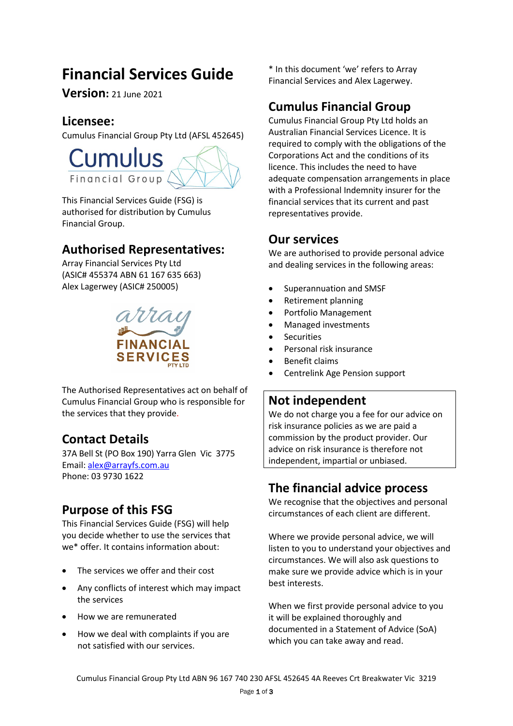# **Financial Services Guide**

**Version:** 21 June <sup>2021</sup>

### **Licensee:**

Cumulus Financial Group Pty Ltd (AFSL 452645)



This Financial Services Guide (FSG) is authorised for distribution by Cumulus Financial Group.

# **Authorised Representatives:**

Array Financial Services Pty Ltd (ASIC# 455374 ABN 61 167 635 663) Alex Lagerwey (ASIC# 250005)



The Authorised Representatives act on behalf of Cumulus Financial Group who is responsible for the services that they provide.

# **Contact Details**

37A Bell St (PO Box 190) Yarra Glen Vic 3775 Email: [alex@arrayfs.com.au](mailto:stephenmaynes@bigpond.com) Phone: 03 9730 1622

# **Purpose of this FSG**

This Financial Services Guide (FSG) will help you decide whether to use the services that we\* offer. It contains information about:

- The services we offer and their cost
- Any conflicts of interest which may impact the services
- How we are remunerated
- How we deal with complaints if you are not satisfied with our services.

\* In this document 'we' refers to Array Financial Services and Alex Lagerwey.

# **Cumulus Financial Group**

Cumulus Financial Group Pty Ltd holds an Australian Financial Services Licence. It is required to comply with the obligations of the Corporations Act and the conditions of its licence. This includes the need to have adequate compensation arrangements in place with a Professional Indemnity insurer for the financial services that its current and past representatives provide.

### **Our services**

We are authorised to provide personal advice and dealing services in the following areas:

- Superannuation and SMSF
- Retirement planning
- Portfolio Management
- Managed investments
- **Securities**
- Personal risk insurance
- Benefit claims
- Centrelink Age Pension support

# **Not independent**

We do not charge you a fee for our advice on risk insurance policies as we are paid a commission by the product provider. Our advice on risk insurance is therefore not independent, impartial or unbiased.

# **The financial advice process**

We recognise that the objectives and personal circumstances of each client are different.

Where we provide personal advice, we will listen to you to understand your objectives and circumstances. We will also ask questions to make sure we provide advice which is in your best interests.

When we first provide personal advice to you it will be explained thoroughly and documented in a Statement of Advice (SoA) which you can take away and read.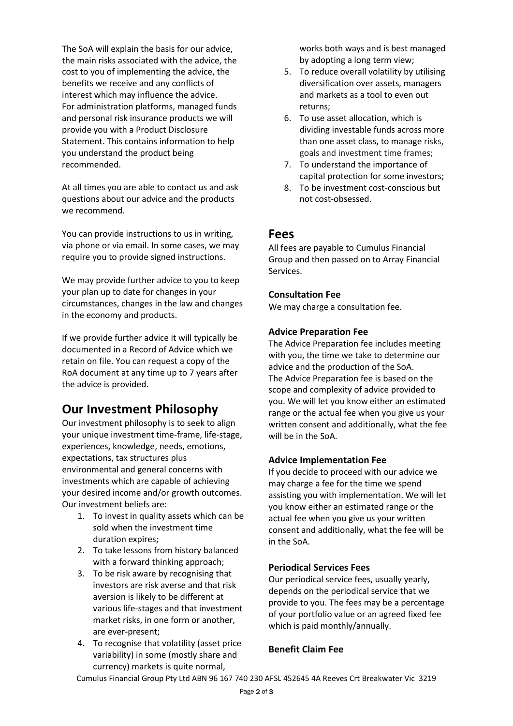The SoA will explain the basis for our advice, the main risks associated with the advice, the cost to you of implementing the advice, the benefits we receive and any conflicts of interest which may influence the advice. For administration platforms, managed funds and personal risk insurance products we will provide you with a Product Disclosure Statement. This contains information to help you understand the product being recommended.

At all times you are able to contact us and ask questions about our advice and the products we recommend.

You can provide instructions to us in writing, via phone or via email. In some cases, we may require you to provide signed instructions.

We may provide further advice to you to keep your plan up to date for changes in your circumstances, changes in the law and changes in the economy and products.

If we provide further advice it will typically be documented in a Record of Advice which we retain on file. You can request a copy of the RoA document at any time up to 7 years after the advice is provided.

# **Our Investment Philosophy**

Our investment philosophy is to seek to align your unique investment time-frame, life-stage, experiences, knowledge, needs, emotions, expectations, tax structures plus environmental and general concerns with investments which are capable of achieving your desired income and/or growth outcomes. Our investment beliefs are:

- 1. To invest in quality assets which can be sold when the investment time duration expires;
- 2. To take lessons from history balanced with a forward thinking approach;
- 3. To be risk aware by recognising that investors are risk averse and that risk aversion is likely to be different at various life-stages and that investment market risks, in one form or another, are ever-present;
- 4. To recognise that volatility (asset price variability) in some (mostly share and currency) markets is quite normal,

works both ways and is best managed by adopting a long term view;

- 5. To reduce overall volatility by utilising diversification over assets, managers and markets as a tool to even out returns;
- 6. To use asset allocation, which is dividing investable funds across more than one asset class, to manage risks, goals and investment time frames;
- 7. To understand the importance of capital protection for some investors;
- 8. To be investment cost-conscious but not cost-obsessed.

#### **Fees**

All fees are payable to Cumulus Financial Group and then passed on to Array Financial Services.

#### **Consultation Fee**

We may charge a consultation fee.

#### **Advice Preparation Fee**

The Advice Preparation fee includes meeting with you, the time we take to determine our advice and the production of the SoA. The Advice Preparation fee is based on the scope and complexity of advice provided to you. We will let you know either an estimated range or the actual fee when you give us your written consent and additionally, what the fee will be in the SoA.

#### **Advice Implementation Fee**

If you decide to proceed with our advice we may charge a fee for the time we spend assisting you with implementation. We will let you know either an estimated range or the actual fee when you give us your written consent and additionally, what the fee will be in the SoA.

#### **Periodical Services Fees**

Our periodical service fees, usually yearly, depends on the periodical service that we provide to you. The fees may be a percentage of your portfolio value or an agreed fixed fee which is paid monthly/annually.

#### **Benefit Claim Fee**

Cumulus Financial Group Pty Ltd ABN 96 167 740 230 AFSL 452645 4A Reeves Crt Breakwater Vic 3219